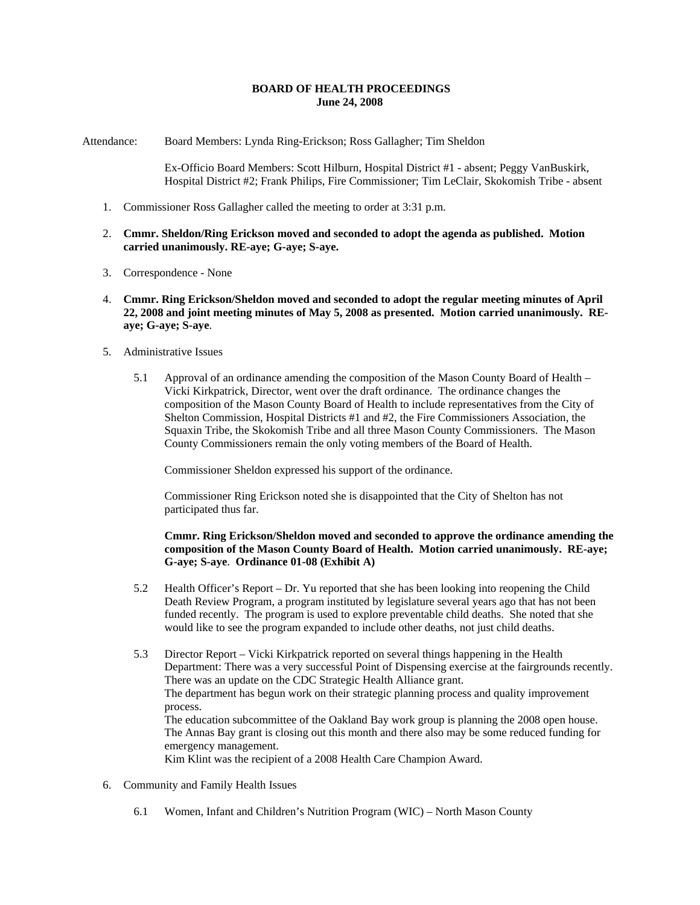## **BOARD OF HEALTH PROCEEDINGS June 24, 2008**

Attendance: Board Members: Lynda Ring-Erickson; Ross Gallagher; Tim Sheldon

Ex-Officio Board Members: Scott Hilburn, Hospital District #1 - absent; Peggy VanBuskirk, Hospital District #2; Frank Philips, Fire Commissioner; Tim LeClair, Skokomish Tribe - absent

- 1. Commissioner Ross Gallagher called the meeting to order at 3:31 p.m.
- 2. **Cmmr. Sheldon/Ring Erickson moved and seconded to adopt the agenda as published. Motion carried unanimously. RE-aye; G-aye; S-aye.**
- 3. Correspondence None
- 4. **Cmmr. Ring Erickson/Sheldon moved and seconded to adopt the regular meeting minutes of April 22, 2008 and joint meeting minutes of May 5, 2008 as presented. Motion carried unanimously. REaye; G-aye; S-aye**.
- 5. Administrative Issues
	- 5.1 Approval of an ordinance amending the composition of the Mason County Board of Health Vicki Kirkpatrick, Director, went over the draft ordinance. The ordinance changes the composition of the Mason County Board of Health to include representatives from the City of Shelton Commission, Hospital Districts #1 and #2, the Fire Commissioners Association, the Squaxin Tribe, the Skokomish Tribe and all three Mason County Commissioners. The Mason County Commissioners remain the only voting members of the Board of Health.

Commissioner Sheldon expressed his support of the ordinance.

Commissioner Ring Erickson noted she is disappointed that the City of Shelton has not participated thus far.

## **Cmmr. Ring Erickson/Sheldon moved and seconded to approve the ordinance amending the composition of the Mason County Board of Health. Motion carried unanimously. RE-aye; G-aye; S-aye**. **Ordinance 01-08 (Exhibit A)**

- 5.2 Health Officer's Report Dr. Yu reported that she has been looking into reopening the Child Death Review Program, a program instituted by legislature several years ago that has not been funded recently. The program is used to explore preventable child deaths. She noted that she would like to see the program expanded to include other deaths, not just child deaths.
- 5.3 Director Report Vicki Kirkpatrick reported on several things happening in the Health Department: There was a very successful Point of Dispensing exercise at the fairgrounds recently. There was an update on the CDC Strategic Health Alliance grant. The department has begun work on their strategic planning process and quality improvement process. The education subcommittee of the Oakland Bay work group is planning the 2008 open house. The Annas Bay grant is closing out this month and there also may be some reduced funding for emergency management. Kim Klint was the recipient of a 2008 Health Care Champion Award.
- 6. Community and Family Health Issues
	- 6.1 Women, Infant and Children's Nutrition Program (WIC) North Mason County